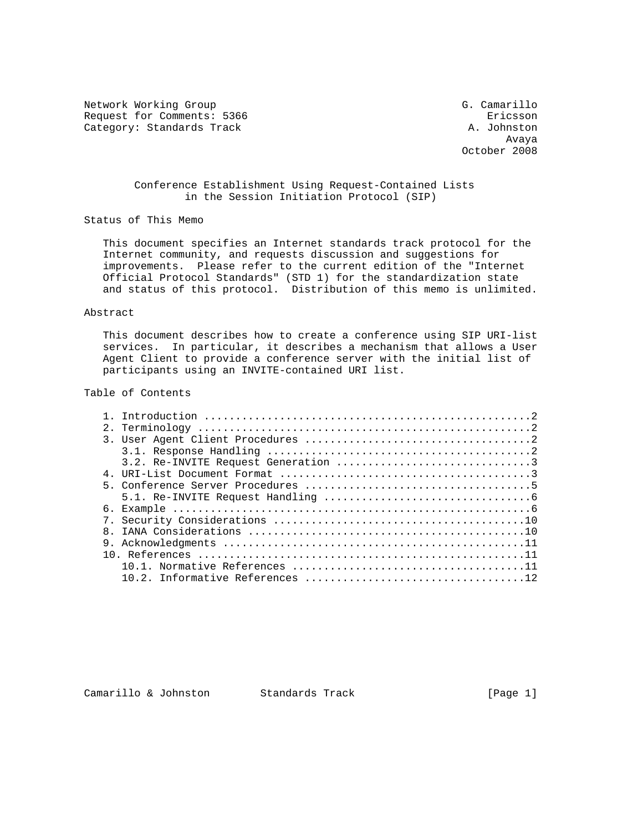Network Working Group G. Camarillo Request for Comments: 5366 Ericsson Category: Standards Track A. Johnston

 Avaya October 2008

# Conference Establishment Using Request-Contained Lists in the Session Initiation Protocol (SIP)

Status of This Memo

 This document specifies an Internet standards track protocol for the Internet community, and requests discussion and suggestions for improvements. Please refer to the current edition of the "Internet Official Protocol Standards" (STD 1) for the standardization state and status of this protocol. Distribution of this memo is unlimited.

## Abstract

 This document describes how to create a conference using SIP URI-list services. In particular, it describes a mechanism that allows a User Agent Client to provide a conference server with the initial list of participants using an INVITE-contained URI list.

## Table of Contents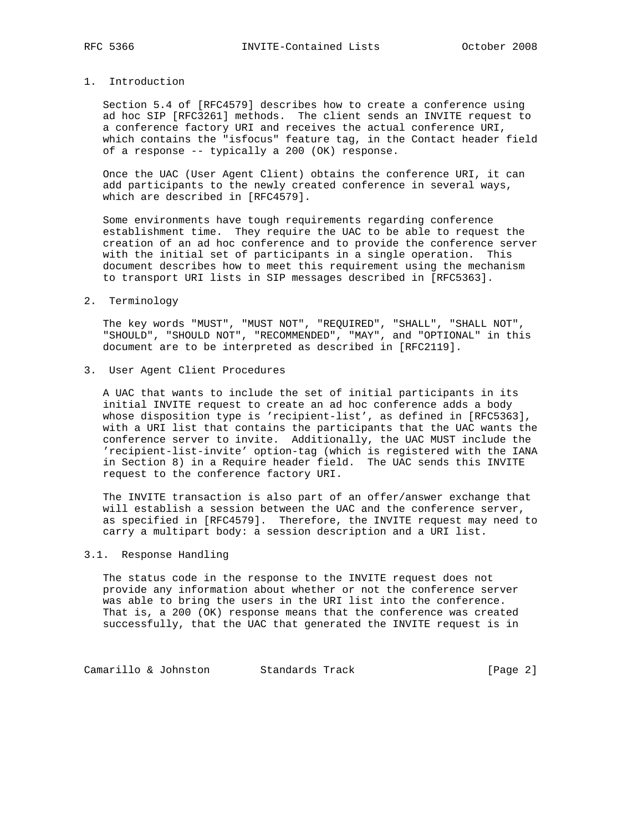#### 1. Introduction

 Section 5.4 of [RFC4579] describes how to create a conference using ad hoc SIP [RFC3261] methods. The client sends an INVITE request to a conference factory URI and receives the actual conference URI, which contains the "isfocus" feature tag, in the Contact header field of a response -- typically a 200 (OK) response.

 Once the UAC (User Agent Client) obtains the conference URI, it can add participants to the newly created conference in several ways, which are described in [RFC4579].

 Some environments have tough requirements regarding conference establishment time. They require the UAC to be able to request the creation of an ad hoc conference and to provide the conference server with the initial set of participants in a single operation. This document describes how to meet this requirement using the mechanism to transport URI lists in SIP messages described in [RFC5363].

2. Terminology

 The key words "MUST", "MUST NOT", "REQUIRED", "SHALL", "SHALL NOT", "SHOULD", "SHOULD NOT", "RECOMMENDED", "MAY", and "OPTIONAL" in this document are to be interpreted as described in [RFC2119].

3. User Agent Client Procedures

 A UAC that wants to include the set of initial participants in its initial INVITE request to create an ad hoc conference adds a body whose disposition type is 'recipient-list', as defined in [RFC5363], with a URI list that contains the participants that the UAC wants the conference server to invite. Additionally, the UAC MUST include the 'recipient-list-invite' option-tag (which is registered with the IANA in Section 8) in a Require header field. The UAC sends this INVITE request to the conference factory URI.

 The INVITE transaction is also part of an offer/answer exchange that will establish a session between the UAC and the conference server, as specified in [RFC4579]. Therefore, the INVITE request may need to carry a multipart body: a session description and a URI list.

## 3.1. Response Handling

 The status code in the response to the INVITE request does not provide any information about whether or not the conference server was able to bring the users in the URI list into the conference. That is, a 200 (OK) response means that the conference was created successfully, that the UAC that generated the INVITE request is in

Camarillo & Johnston Standards Track [Page 2]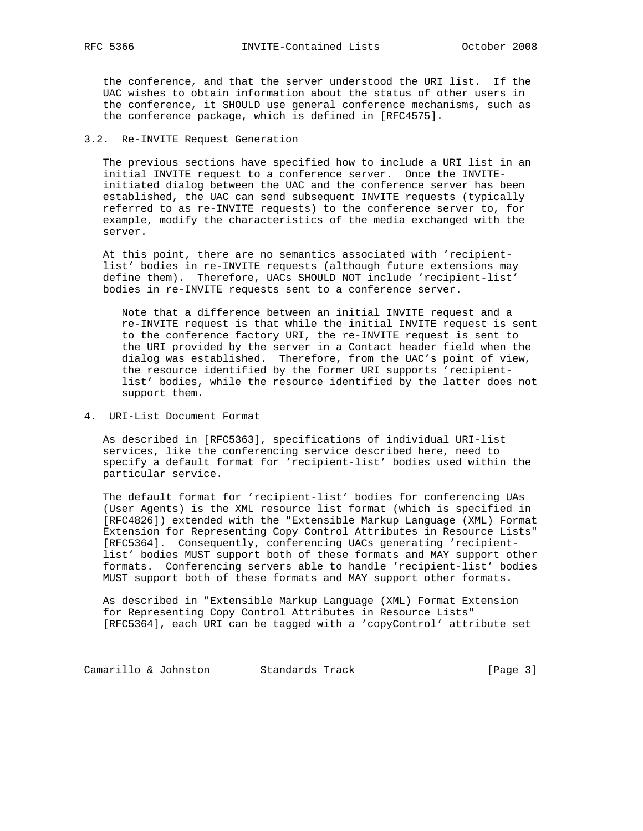the conference, and that the server understood the URI list. If the UAC wishes to obtain information about the status of other users in the conference, it SHOULD use general conference mechanisms, such as the conference package, which is defined in [RFC4575].

## 3.2. Re-INVITE Request Generation

 The previous sections have specified how to include a URI list in an initial INVITE request to a conference server. Once the INVITE initiated dialog between the UAC and the conference server has been established, the UAC can send subsequent INVITE requests (typically referred to as re-INVITE requests) to the conference server to, for example, modify the characteristics of the media exchanged with the server.

 At this point, there are no semantics associated with 'recipient list' bodies in re-INVITE requests (although future extensions may define them). Therefore, UACs SHOULD NOT include 'recipient-list' bodies in re-INVITE requests sent to a conference server.

 Note that a difference between an initial INVITE request and a re-INVITE request is that while the initial INVITE request is sent to the conference factory URI, the re-INVITE request is sent to the URI provided by the server in a Contact header field when the dialog was established. Therefore, from the UAC's point of view, the resource identified by the former URI supports 'recipient list' bodies, while the resource identified by the latter does not support them.

4. URI-List Document Format

 As described in [RFC5363], specifications of individual URI-list services, like the conferencing service described here, need to specify a default format for 'recipient-list' bodies used within the particular service.

 The default format for 'recipient-list' bodies for conferencing UAs (User Agents) is the XML resource list format (which is specified in [RFC4826]) extended with the "Extensible Markup Language (XML) Format Extension for Representing Copy Control Attributes in Resource Lists" [RFC5364]. Consequently, conferencing UACs generating 'recipient list' bodies MUST support both of these formats and MAY support other formats. Conferencing servers able to handle 'recipient-list' bodies MUST support both of these formats and MAY support other formats.

 As described in "Extensible Markup Language (XML) Format Extension for Representing Copy Control Attributes in Resource Lists" [RFC5364], each URI can be tagged with a 'copyControl' attribute set

Camarillo & Johnston Standards Track (Page 3)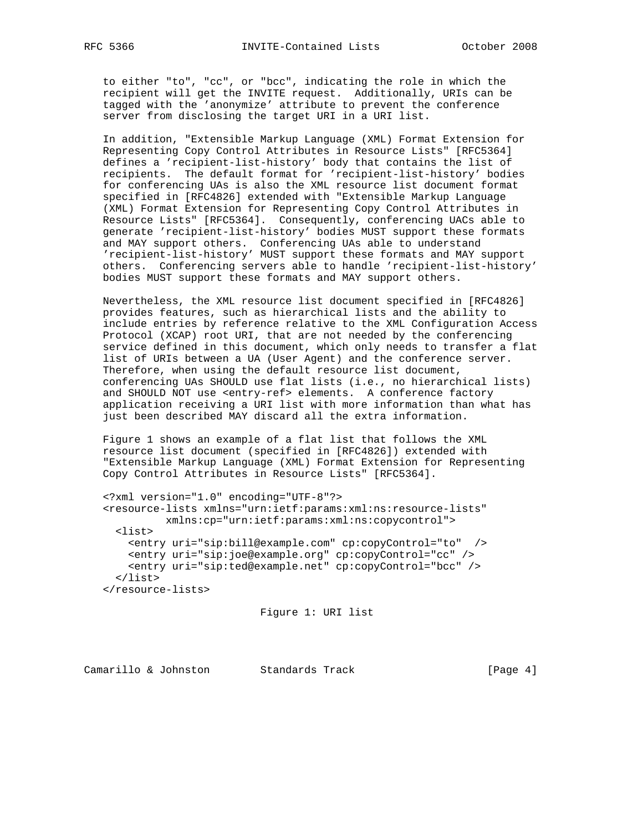to either "to", "cc", or "bcc", indicating the role in which the recipient will get the INVITE request. Additionally, URIs can be tagged with the 'anonymize' attribute to prevent the conference server from disclosing the target URI in a URI list.

 In addition, "Extensible Markup Language (XML) Format Extension for Representing Copy Control Attributes in Resource Lists" [RFC5364] defines a 'recipient-list-history' body that contains the list of recipients. The default format for 'recipient-list-history' bodies for conferencing UAs is also the XML resource list document format specified in [RFC4826] extended with "Extensible Markup Language (XML) Format Extension for Representing Copy Control Attributes in Resource Lists" [RFC5364]. Consequently, conferencing UACs able to generate 'recipient-list-history' bodies MUST support these formats and MAY support others. Conferencing UAs able to understand 'recipient-list-history' MUST support these formats and MAY support others. Conferencing servers able to handle 'recipient-list-history' bodies MUST support these formats and MAY support others.

 Nevertheless, the XML resource list document specified in [RFC4826] provides features, such as hierarchical lists and the ability to include entries by reference relative to the XML Configuration Access Protocol (XCAP) root URI, that are not needed by the conferencing service defined in this document, which only needs to transfer a flat list of URIs between a UA (User Agent) and the conference server. Therefore, when using the default resource list document, conferencing UAs SHOULD use flat lists (i.e., no hierarchical lists) and SHOULD NOT use <entry-ref> elements. A conference factory application receiving a URI list with more information than what has just been described MAY discard all the extra information.

 Figure 1 shows an example of a flat list that follows the XML resource list document (specified in [RFC4826]) extended with "Extensible Markup Language (XML) Format Extension for Representing Copy Control Attributes in Resource Lists" [RFC5364].

```
 <?xml version="1.0" encoding="UTF-8"?>
 <resource-lists xmlns="urn:ietf:params:xml:ns:resource-lists"
          xmlns:cp="urn:ietf:params:xml:ns:copycontrol">
  <list>
     <entry uri="sip:bill@example.com" cp:copyControl="to" />
     <entry uri="sip:joe@example.org" cp:copyControl="cc" />
     <entry uri="sip:ted@example.net" cp:copyControl="bcc" />
   </list>
 </resource-lists>
```
Figure 1: URI list

Camarillo & Johnston Standards Track [Page 4]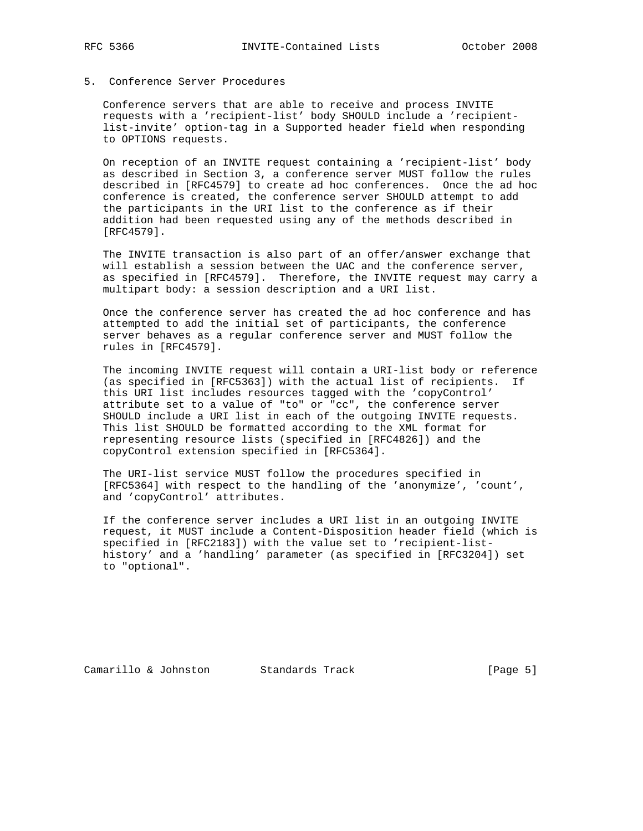# 5. Conference Server Procedures

 Conference servers that are able to receive and process INVITE requests with a 'recipient-list' body SHOULD include a 'recipient list-invite' option-tag in a Supported header field when responding to OPTIONS requests.

 On reception of an INVITE request containing a 'recipient-list' body as described in Section 3, a conference server MUST follow the rules described in [RFC4579] to create ad hoc conferences. Once the ad hoc conference is created, the conference server SHOULD attempt to add the participants in the URI list to the conference as if their addition had been requested using any of the methods described in [RFC4579].

 The INVITE transaction is also part of an offer/answer exchange that will establish a session between the UAC and the conference server, as specified in [RFC4579]. Therefore, the INVITE request may carry a multipart body: a session description and a URI list.

 Once the conference server has created the ad hoc conference and has attempted to add the initial set of participants, the conference server behaves as a regular conference server and MUST follow the rules in [RFC4579].

 The incoming INVITE request will contain a URI-list body or reference (as specified in [RFC5363]) with the actual list of recipients. If this URI list includes resources tagged with the 'copyControl' attribute set to a value of "to" or "cc", the conference server SHOULD include a URI list in each of the outgoing INVITE requests. This list SHOULD be formatted according to the XML format for representing resource lists (specified in [RFC4826]) and the copyControl extension specified in [RFC5364].

 The URI-list service MUST follow the procedures specified in [RFC5364] with respect to the handling of the 'anonymize', 'count', and 'copyControl' attributes.

 If the conference server includes a URI list in an outgoing INVITE request, it MUST include a Content-Disposition header field (which is specified in [RFC2183]) with the value set to 'recipient-list history' and a 'handling' parameter (as specified in [RFC3204]) set to "optional".

Camarillo & Johnston Standards Track [Page 5]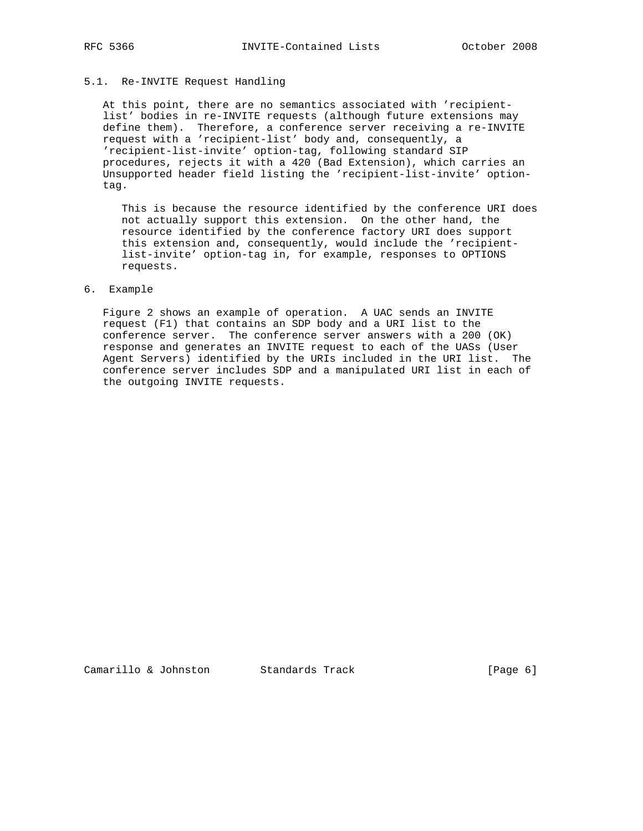# 5.1. Re-INVITE Request Handling

 At this point, there are no semantics associated with 'recipient list' bodies in re-INVITE requests (although future extensions may define them). Therefore, a conference server receiving a re-INVITE request with a 'recipient-list' body and, consequently, a 'recipient-list-invite' option-tag, following standard SIP procedures, rejects it with a 420 (Bad Extension), which carries an Unsupported header field listing the 'recipient-list-invite' option tag.

 This is because the resource identified by the conference URI does not actually support this extension. On the other hand, the resource identified by the conference factory URI does support this extension and, consequently, would include the 'recipient list-invite' option-tag in, for example, responses to OPTIONS requests.

#### 6. Example

 Figure 2 shows an example of operation. A UAC sends an INVITE request (F1) that contains an SDP body and a URI list to the conference server. The conference server answers with a 200 (OK) response and generates an INVITE request to each of the UASs (User Agent Servers) identified by the URIs included in the URI list. The conference server includes SDP and a manipulated URI list in each of the outgoing INVITE requests.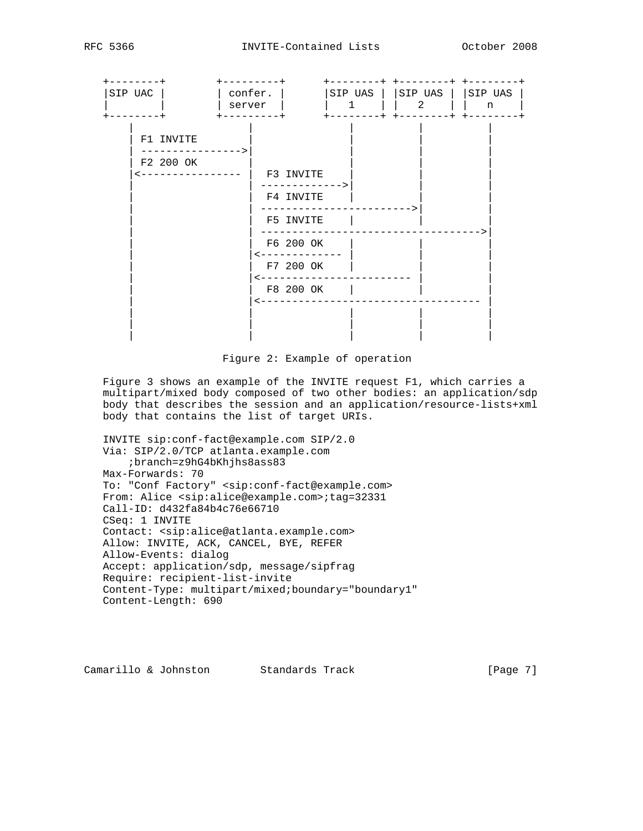

Figure 2: Example of operation

 Figure 3 shows an example of the INVITE request F1, which carries a multipart/mixed body composed of two other bodies: an application/sdp body that describes the session and an application/resource-lists+xml body that contains the list of target URIs.

 INVITE sip:conf-fact@example.com SIP/2.0 Via: SIP/2.0/TCP atlanta.example.com ;branch=z9hG4bKhjhs8ass83 Max-Forwards: 70 To: "Conf Factory" <sip:conf-fact@example.com> From: Alice <sip:alice@example.com>;tag=32331 Call-ID: d432fa84b4c76e66710 CSeq: 1 INVITE Contact: <sip:alice@atlanta.example.com> Allow: INVITE, ACK, CANCEL, BYE, REFER Allow-Events: dialog Accept: application/sdp, message/sipfrag Require: recipient-list-invite Content-Type: multipart/mixed;boundary="boundary1" Content-Length: 690

Camarillo & Johnston Standards Track [Page 7]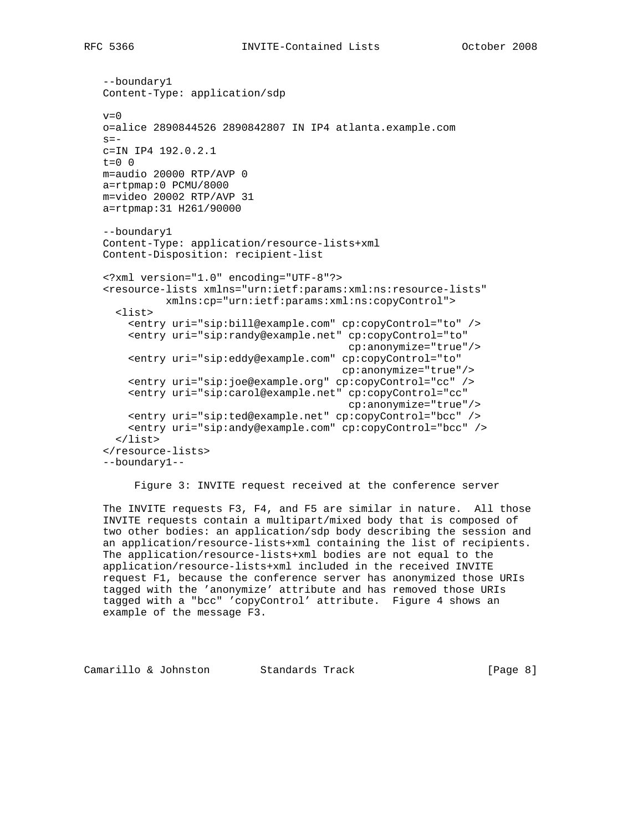```
 --boundary1
 Content-Type: application/sdp
v=0 o=alice 2890844526 2890842807 IN IP4 atlanta.example.com
s=- c=IN IP4 192.0.2.1
 t=0 0
 m=audio 20000 RTP/AVP 0
 a=rtpmap:0 PCMU/8000
 m=video 20002 RTP/AVP 31
 a=rtpmap:31 H261/90000
 --boundary1
 Content-Type: application/resource-lists+xml
 Content-Disposition: recipient-list
 <?xml version="1.0" encoding="UTF-8"?>
 <resource-lists xmlns="urn:ietf:params:xml:ns:resource-lists"
           xmlns:cp="urn:ietf:params:xml:ns:copyControl">
   <list>
     <entry uri="sip:bill@example.com" cp:copyControl="to" />
     <entry uri="sip:randy@example.net" cp:copyControl="to"
                                         cp:anonymize="true"/>
     <entry uri="sip:eddy@example.com" cp:copyControl="to"
                                        cp:anonymize="true"/>
     <entry uri="sip:joe@example.org" cp:copyControl="cc" />
     <entry uri="sip:carol@example.net" cp:copyControl="cc"
                                        cp:anonymize="true"/>
     <entry uri="sip:ted@example.net" cp:copyControl="bcc" />
     <entry uri="sip:andy@example.com" cp:copyControl="bcc" />
   </list>
 </resource-lists>
 --boundary1--
```
Figure 3: INVITE request received at the conference server

 The INVITE requests F3, F4, and F5 are similar in nature. All those INVITE requests contain a multipart/mixed body that is composed of two other bodies: an application/sdp body describing the session and an application/resource-lists+xml containing the list of recipients. The application/resource-lists+xml bodies are not equal to the application/resource-lists+xml included in the received INVITE request F1, because the conference server has anonymized those URIs tagged with the 'anonymize' attribute and has removed those URIs tagged with a "bcc" 'copyControl' attribute. Figure 4 shows an example of the message F3.

```
Camarillo & Johnston Standards Track [Page 8]
```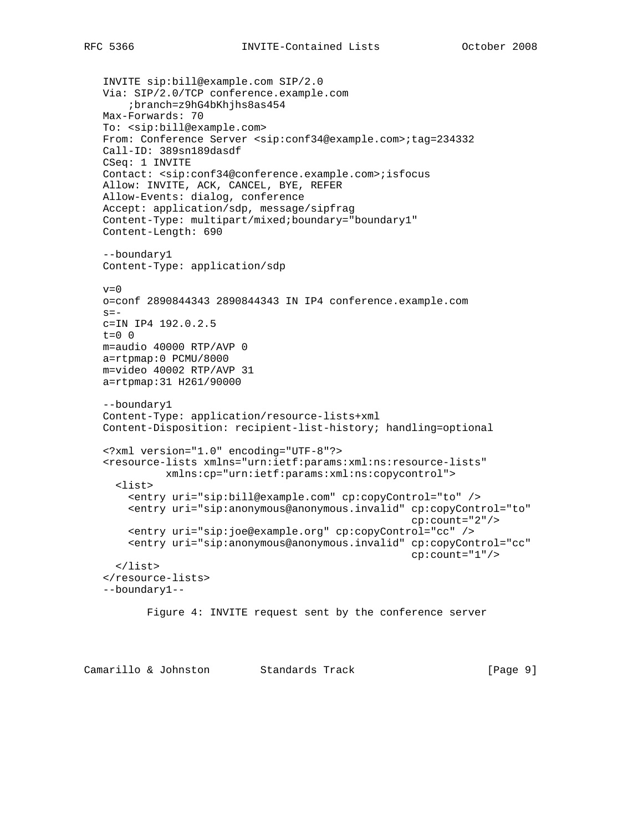```
 INVITE sip:bill@example.com SIP/2.0
 Via: SIP/2.0/TCP conference.example.com
     ;branch=z9hG4bKhjhs8as454
 Max-Forwards: 70
 To: <sip:bill@example.com>
 From: Conference Server <sip:conf34@example.com>;tag=234332
 Call-ID: 389sn189dasdf
 CSeq: 1 INVITE
 Contact: <sip:conf34@conference.example.com>;isfocus
 Allow: INVITE, ACK, CANCEL, BYE, REFER
 Allow-Events: dialog, conference
 Accept: application/sdp, message/sipfrag
 Content-Type: multipart/mixed;boundary="boundary1"
 Content-Length: 690
 --boundary1
 Content-Type: application/sdp
v=0 o=conf 2890844343 2890844343 IN IP4 conference.example.com
s = - c=IN IP4 192.0.2.5
t=0 0
 m=audio 40000 RTP/AVP 0
 a=rtpmap:0 PCMU/8000
 m=video 40002 RTP/AVP 31
 a=rtpmap:31 H261/90000
 --boundary1
 Content-Type: application/resource-lists+xml
 Content-Disposition: recipient-list-history; handling=optional
 <?xml version="1.0" encoding="UTF-8"?>
 <resource-lists xmlns="urn:ietf:params:xml:ns:resource-lists"
           xmlns:cp="urn:ietf:params:xml:ns:copycontrol">
   <list>
     <entry uri="sip:bill@example.com" cp:copyControl="to" />
     <entry uri="sip:anonymous@anonymous.invalid" cp:copyControl="to"
                                                   cp:count="2"/>
     <entry uri="sip:joe@example.org" cp:copyControl="cc" />
     <entry uri="sip:anonymous@anonymous.invalid" cp:copyControl="cc"
                                                    cp:count="1"/>
   </list>
 </resource-lists>
 --boundary1--
        Figure 4: INVITE request sent by the conference server
```
Camarillo & Johnston Standards Track [Page 9]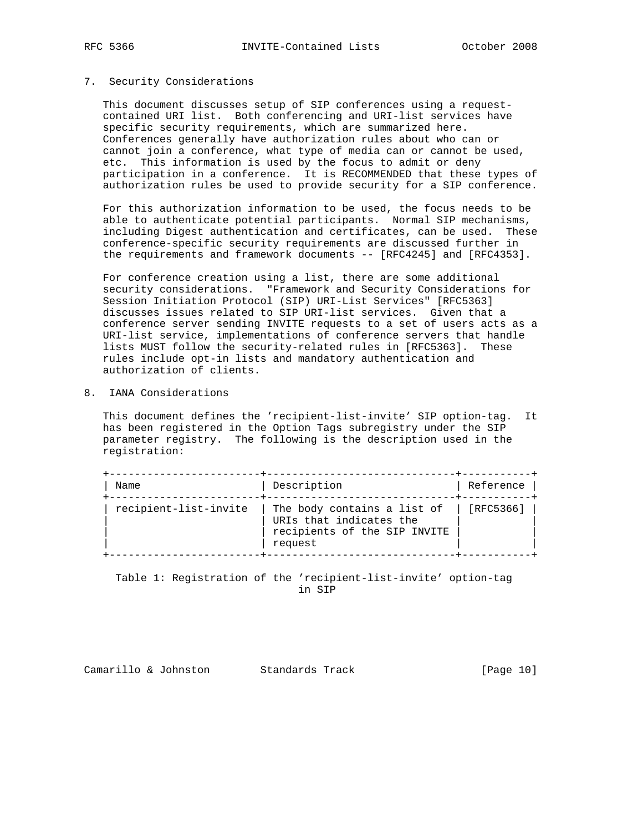# 7. Security Considerations

 This document discusses setup of SIP conferences using a request contained URI list. Both conferencing and URI-list services have specific security requirements, which are summarized here. Conferences generally have authorization rules about who can or cannot join a conference, what type of media can or cannot be used, etc. This information is used by the focus to admit or deny participation in a conference. It is RECOMMENDED that these types of authorization rules be used to provide security for a SIP conference.

 For this authorization information to be used, the focus needs to be able to authenticate potential participants. Normal SIP mechanisms, including Digest authentication and certificates, can be used. These conference-specific security requirements are discussed further in the requirements and framework documents -- [RFC4245] and [RFC4353].

 For conference creation using a list, there are some additional security considerations. "Framework and Security Considerations for Session Initiation Protocol (SIP) URI-List Services" [RFC5363] discusses issues related to SIP URI-list services. Given that a conference server sending INVITE requests to a set of users acts as a URI-list service, implementations of conference servers that handle lists MUST follow the security-related rules in [RFC5363]. These rules include opt-in lists and mandatory authentication and authorization of clients.

8. IANA Considerations

 This document defines the 'recipient-list-invite' SIP option-tag. It has been registered in the Option Tags subregistry under the SIP parameter registry. The following is the description used in the registration:

| Name                  | Description                                                                                       | Reference |
|-----------------------|---------------------------------------------------------------------------------------------------|-----------|
| recipient-list-invite | The body contains a list of<br>URIs that indicates the<br>recipients of the SIP INVITE<br>request | [RFC5366] |

 Table 1: Registration of the 'recipient-list-invite' option-tag in SIP

Camarillo & Johnston Standards Track [Page 10]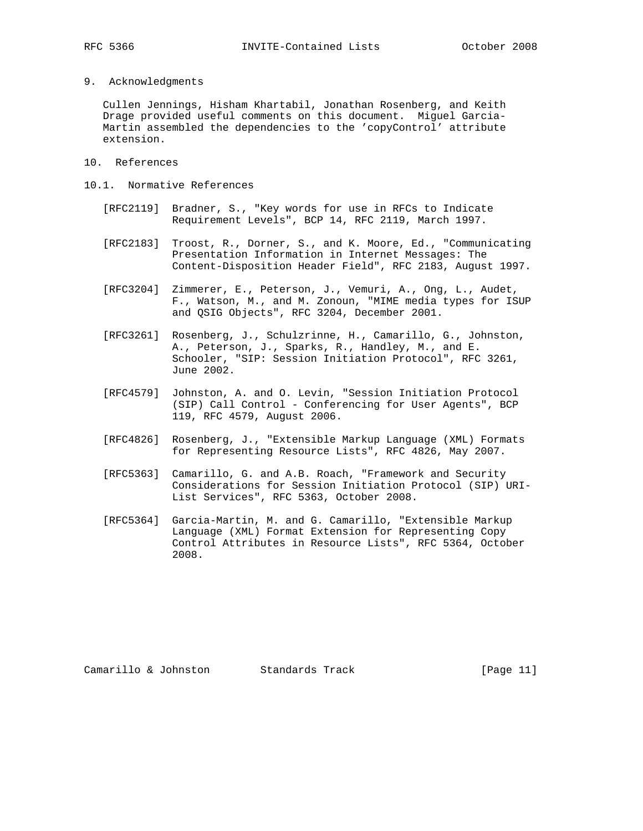9. Acknowledgments

 Cullen Jennings, Hisham Khartabil, Jonathan Rosenberg, and Keith Drage provided useful comments on this document. Miguel Garcia- Martin assembled the dependencies to the 'copyControl' attribute extension.

- 10. References
- 10.1. Normative References
	- [RFC2119] Bradner, S., "Key words for use in RFCs to Indicate Requirement Levels", BCP 14, RFC 2119, March 1997.
	- [RFC2183] Troost, R., Dorner, S., and K. Moore, Ed., "Communicating Presentation Information in Internet Messages: The Content-Disposition Header Field", RFC 2183, August 1997.
	- [RFC3204] Zimmerer, E., Peterson, J., Vemuri, A., Ong, L., Audet, F., Watson, M., and M. Zonoun, "MIME media types for ISUP and QSIG Objects", RFC 3204, December 2001.
	- [RFC3261] Rosenberg, J., Schulzrinne, H., Camarillo, G., Johnston, A., Peterson, J., Sparks, R., Handley, M., and E. Schooler, "SIP: Session Initiation Protocol", RFC 3261, June 2002.
	- [RFC4579] Johnston, A. and O. Levin, "Session Initiation Protocol (SIP) Call Control - Conferencing for User Agents", BCP 119, RFC 4579, August 2006.
	- [RFC4826] Rosenberg, J., "Extensible Markup Language (XML) Formats for Representing Resource Lists", RFC 4826, May 2007.
	- [RFC5363] Camarillo, G. and A.B. Roach, "Framework and Security Considerations for Session Initiation Protocol (SIP) URI- List Services", RFC 5363, October 2008.
	- [RFC5364] Garcia-Martin, M. and G. Camarillo, "Extensible Markup Language (XML) Format Extension for Representing Copy Control Attributes in Resource Lists", RFC 5364, October 2008.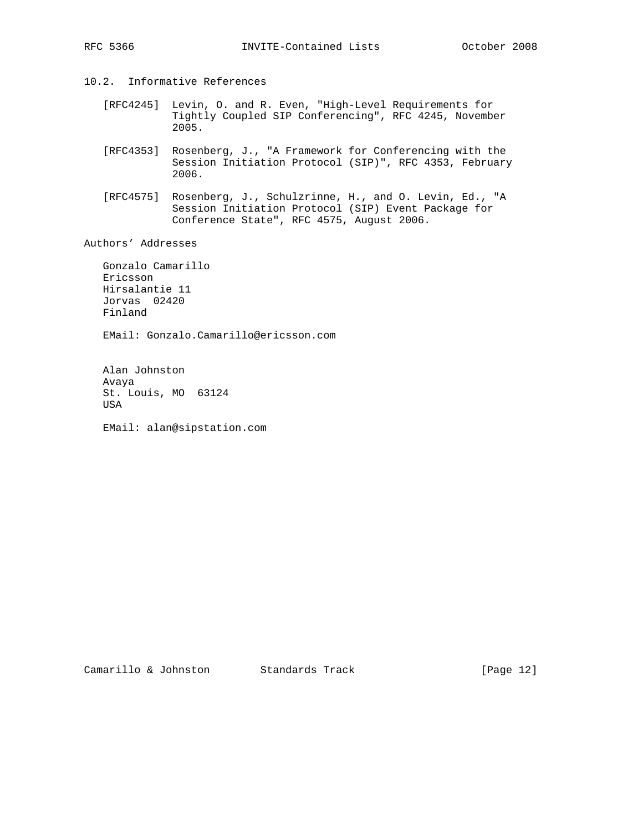- 10.2. Informative References
	- [RFC4245] Levin, O. and R. Even, "High-Level Requirements for Tightly Coupled SIP Conferencing", RFC 4245, November 2005.
	- [RFC4353] Rosenberg, J., "A Framework for Conferencing with the Session Initiation Protocol (SIP)", RFC 4353, February 2006.
	- [RFC4575] Rosenberg, J., Schulzrinne, H., and O. Levin, Ed., "A Session Initiation Protocol (SIP) Event Package for Conference State", RFC 4575, August 2006.

Authors' Addresses

 Gonzalo Camarillo Ericsson Hirsalantie 11 Jorvas 02420 Finland

EMail: Gonzalo.Camarillo@ericsson.com

 Alan Johnston Avaya St. Louis, MO 63124 USA

EMail: alan@sipstation.com